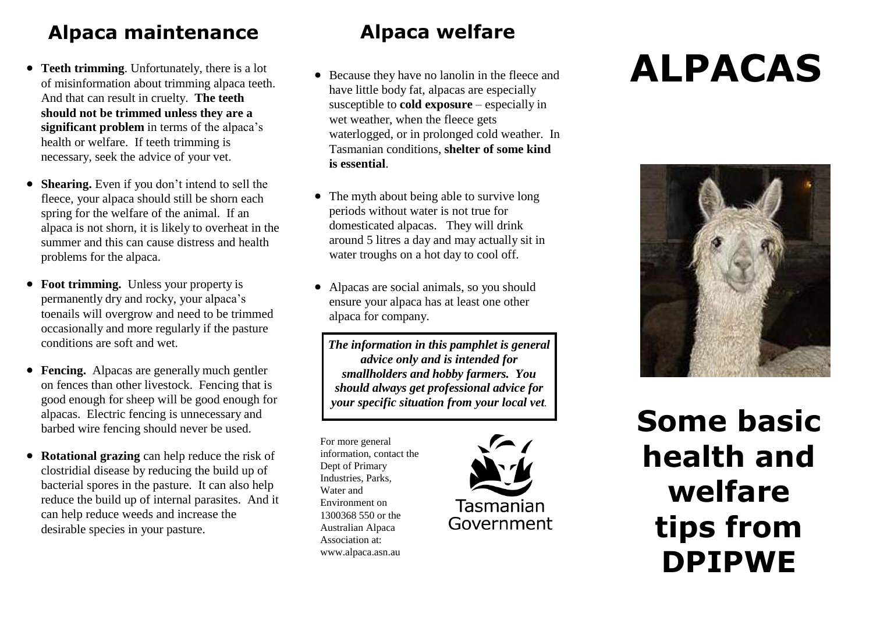#### **Alpaca maintenance**

- **Teeth trimming.** Unfortunately, there is a lot of misinformation about trimming alpaca teeth. And that can result in cruelty. **The teeth should not be trimmed unless they are a significant problem** in terms of the alpaca's health or welfare. If teeth trimming is necessary, seek the advice of your vet.
- **Shearing.** Even if you don't intend to sell the fleece, your alpaca should still be shorn each spring for the welfare of the animal. If an alpaca is not shorn, it is likely to overheat in the summer and this can cause distress and health problems for the alpaca.
- Foot trimming. Unless your property is permanently dry and rocky, your alpaca's toenails will overgrow and need to be trimmed occasionally and more regularly if the pasture conditions are soft and wet.
- **Fencing.** Alpacas are generally much gentler on fences than other livestock. Fencing that is good enough for sheep will be good enough for alpacas. Electric fencing is unnecessary and barbed wire fencing should never be used.
- **Rotational grazing** can help reduce the risk of clostridial disease by reducing the build up of bacterial spores in the pasture. It can also help reduce the build up of internal parasites. And it can help reduce weeds and increase the desirable species in your pasture.

#### **Alpaca welfare**

- Because they have no lanolin in the fleece and have little body fat, alpacas are especially susceptible to **cold exposure** – especially in wet weather, when the fleece gets waterlogged, or in prolonged cold weather. In Tasmanian conditions, **shelter of some kind is essential**.
- The myth about being able to survive long periods without water is not true for domesticated alpacas. They will drink around 5 litres a day and may actually sit in water troughs on a hot day to cool off.
- Alpacas are social animals, so you should ensure your alpaca has at least one other alpaca for company.

*The information in this pamphlet is general advice only and is intended for smallholders and hobby farmers. You should always get professional advice for your specific situation from your local vet.*

For more general information, contact the Dept of Primary Industries, Parks, Water and Environment on 1300368 550 or the Australian Alpaca Association at: [www.alpaca.asn.au](http://www.alpaca.asn.au/) 



# **ALPACAS**



**Some basic health and welfare tips from DPIPWE**